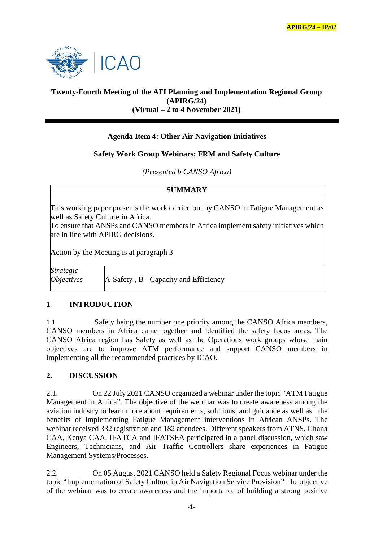

## **Twenty-Fourth Meeting of the AFI Planning and Implementation Regional Group (APIRG/24) (Virtual – 2 to 4 November 2021)**

# **Agenda Item 4: Other Air Navigation Initiatives**

### **Safety Work Group Webinars: FRM and Safety Culture**

*(Presented b CANSO Africa)*

| <b>SUMMARY</b>                               |                                                                                                                                                                                                                                                     |
|----------------------------------------------|-----------------------------------------------------------------------------------------------------------------------------------------------------------------------------------------------------------------------------------------------------|
|                                              | This working paper presents the work carried out by CANSO in Fatigue Management as<br>well as Safety Culture in Africa.<br>To ensure that ANSPs and CANSO members in Africa implement safety initiatives which<br>are in line with APIRG decisions. |
| Action by the Meeting is at paragraph 3      |                                                                                                                                                                                                                                                     |
| <b>Strategic</b><br><i><b>Objectives</b></i> | A-Safety, B- Capacity and Efficiency                                                                                                                                                                                                                |

### **1 INTRODUCTION**

1.1 Safety being the number one priority among the CANSO Africa members, CANSO members in Africa came together and identified the safety focus areas. The CANSO Africa region has Safety as well as the Operations work groups whose main objectives are to improve ATM performance and support CANSO members in implementing all the recommended practices by ICAO.

#### **2. DISCUSSION**

2.1. On 22 July 2021 CANSO organized a webinar under the topic "ATM Fatigue Management in Africa". The objective of the webinar was to create awareness among the aviation industry to learn more about requirements, solutions, and guidance as well as the benefits of implementing Fatigue Management interventions in African ANSPs. The webinar received 332 registration and 182 attendees. Different speakers from ATNS, Ghana CAA, Kenya CAA, IFATCA and IFATSEA participated in a panel discussion, which saw Engineers, Technicians, and Air Traffic Controllers share experiences in Fatigue Management Systems/Processes.

2.2. On 05 August 2021 CANSO held a Safety Regional Focus webinar under the topic "Implementation of Safety Culture in Air Navigation Service Provision" The objective of the webinar was to create awareness and the importance of building a strong positive